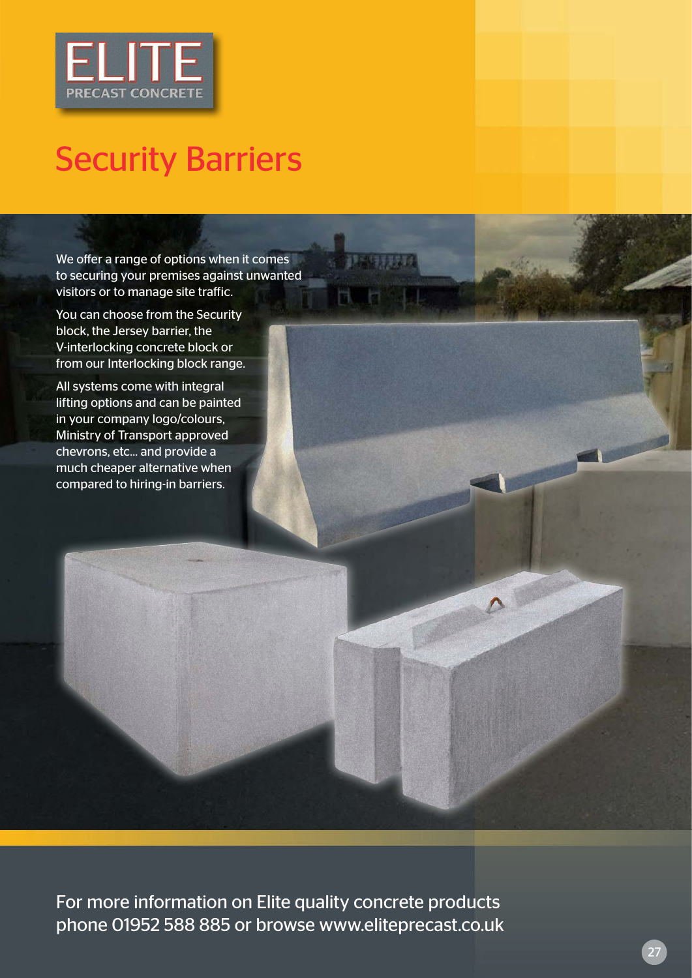

## Security Barriers

We offer a range of options when it comes to securing your premises against unwanted visitors or to manage site traffic.

You can choose from the Security block, the Jersey barrier, the V-interlocking concrete block or from our Interlocking block range.

All systems come with integral lifting options and can be painted in your company logo/colours, Ministry of Transport approved chevrons, etc... and provide a much cheaper alternative when compared to hiring-in barriers.

For more information on Elite quality concrete products phone 01952 588 885 or browse www.eliteprecast.co.uk